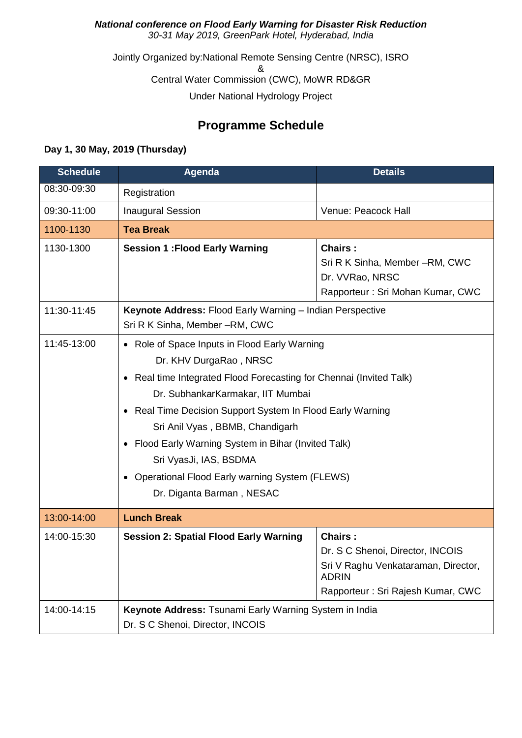## *National conference on Flood Early Warning for Disaster Risk Reduction 30-31 May 2019, GreenPark Hotel, Hyderabad, India*

Jointly Organized by:National Remote Sensing Centre (NRSC), ISRO & Central Water Commission (CWC), MoWR RD&GR Under National Hydrology Project

## **Programme Schedule**

## **Day 1, 30 May, 2019 (Thursday)**

| <b>Schedule</b> | Agenda                                                                                                                                                                                                                                                                                                                                                                                                                                                                  | <b>Details</b>                                                                                                                                 |  |
|-----------------|-------------------------------------------------------------------------------------------------------------------------------------------------------------------------------------------------------------------------------------------------------------------------------------------------------------------------------------------------------------------------------------------------------------------------------------------------------------------------|------------------------------------------------------------------------------------------------------------------------------------------------|--|
| 08:30-09:30     | Registration                                                                                                                                                                                                                                                                                                                                                                                                                                                            |                                                                                                                                                |  |
| 09:30-11:00     | <b>Inaugural Session</b>                                                                                                                                                                                                                                                                                                                                                                                                                                                | Venue: Peacock Hall                                                                                                                            |  |
| 1100-1130       | <b>Tea Break</b>                                                                                                                                                                                                                                                                                                                                                                                                                                                        |                                                                                                                                                |  |
| 1130-1300       | <b>Session 1: Flood Early Warning</b>                                                                                                                                                                                                                                                                                                                                                                                                                                   | <b>Chairs:</b><br>Sri R K Sinha, Member -RM, CWC<br>Dr. VVRao, NRSC<br>Rapporteur: Sri Mohan Kumar, CWC                                        |  |
| 11:30-11:45     | Keynote Address: Flood Early Warning - Indian Perspective<br>Sri R K Sinha, Member -RM, CWC                                                                                                                                                                                                                                                                                                                                                                             |                                                                                                                                                |  |
| 11:45-13:00     | • Role of Space Inputs in Flood Early Warning<br>Dr. KHV DurgaRao, NRSC<br>Real time Integrated Flood Forecasting for Chennai (Invited Talk)<br>$\bullet$<br>Dr. SubhankarKarmakar, IIT Mumbai<br>• Real Time Decision Support System In Flood Early Warning<br>Sri Anil Vyas, BBMB, Chandigarh<br>• Flood Early Warning System in Bihar (Invited Talk)<br>Sri VyasJi, IAS, BSDMA<br><b>Operational Flood Early warning System (FLEWS)</b><br>Dr. Diganta Barman, NESAC |                                                                                                                                                |  |
| 13:00-14:00     | <b>Lunch Break</b>                                                                                                                                                                                                                                                                                                                                                                                                                                                      |                                                                                                                                                |  |
| 14:00-15:30     | <b>Session 2: Spatial Flood Early Warning</b>                                                                                                                                                                                                                                                                                                                                                                                                                           | <b>Chairs:</b><br>Dr. S C Shenoi, Director, INCOIS<br>Sri V Raghu Venkataraman, Director,<br><b>ADRIN</b><br>Rapporteur: Sri Rajesh Kumar, CWC |  |
| 14:00-14:15     | Keynote Address: Tsunami Early Warning System in India<br>Dr. S C Shenoi, Director, INCOIS                                                                                                                                                                                                                                                                                                                                                                              |                                                                                                                                                |  |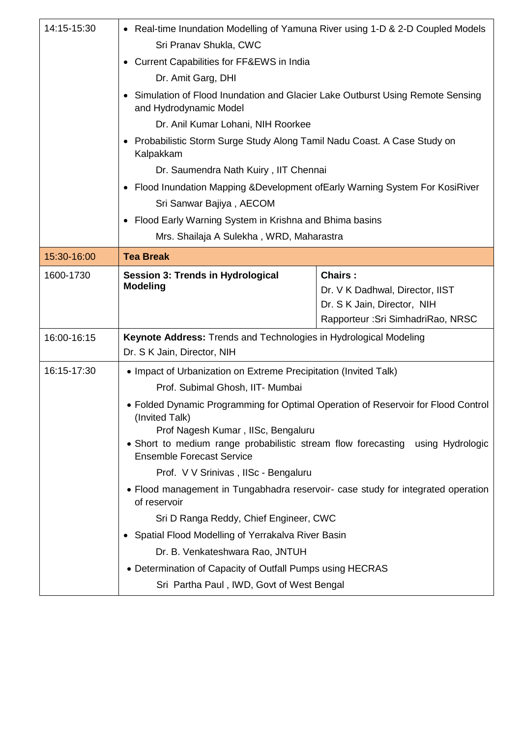| 14:15-15:30              | • Real-time Inundation Modelling of Yamuna River using 1-D & 2-D Coupled Models                                                                          |                                    |  |  |
|--------------------------|----------------------------------------------------------------------------------------------------------------------------------------------------------|------------------------------------|--|--|
|                          | Sri Pranav Shukla, CWC                                                                                                                                   |                                    |  |  |
|                          | Current Capabilities for FF&EWS in India<br>Dr. Amit Garg, DHI                                                                                           |                                    |  |  |
|                          |                                                                                                                                                          |                                    |  |  |
|                          | Simulation of Flood Inundation and Glacier Lake Outburst Using Remote Sensing<br>and Hydrodynamic Model                                                  |                                    |  |  |
|                          | Dr. Anil Kumar Lohani, NIH Roorkee                                                                                                                       |                                    |  |  |
|                          | Probabilistic Storm Surge Study Along Tamil Nadu Coast. A Case Study on<br>Kalpakkam                                                                     |                                    |  |  |
|                          | Dr. Saumendra Nath Kuiry, IIT Chennai                                                                                                                    |                                    |  |  |
|                          | • Flood Inundation Mapping & Development of Early Warning System For KosiRiver                                                                           |                                    |  |  |
| Sri Sanwar Bajiya, AECOM |                                                                                                                                                          |                                    |  |  |
|                          | • Flood Early Warning System in Krishna and Bhima basins                                                                                                 |                                    |  |  |
|                          | Mrs. Shailaja A Sulekha, WRD, Maharastra                                                                                                                 |                                    |  |  |
| 15:30-16:00              | <b>Tea Break</b>                                                                                                                                         |                                    |  |  |
| 1600-1730                | <b>Session 3: Trends in Hydrological</b><br><b>Modeling</b>                                                                                              | <b>Chairs:</b>                     |  |  |
|                          |                                                                                                                                                          | Dr. V K Dadhwal, Director, IIST    |  |  |
|                          |                                                                                                                                                          | Dr. S K Jain, Director, NIH        |  |  |
|                          |                                                                                                                                                          |                                    |  |  |
|                          |                                                                                                                                                          | Rapporteur : Sri SimhadriRao, NRSC |  |  |
| 16:00-16:15              | Keynote Address: Trends and Technologies in Hydrological Modeling<br>Dr. S K Jain, Director, NIH                                                         |                                    |  |  |
| 16:15-17:30              | • Impact of Urbanization on Extreme Precipitation (Invited Talk)                                                                                         |                                    |  |  |
|                          | Prof. Subimal Ghosh, IIT- Mumbai                                                                                                                         |                                    |  |  |
|                          | • Folded Dynamic Programming for Optimal Operation of Reservoir for Flood Control<br>(Invited Talk)                                                      |                                    |  |  |
|                          | Prof Nagesh Kumar, IISc, Bengaluru<br>• Short to medium range probabilistic stream flow forecasting using Hydrologic<br><b>Ensemble Forecast Service</b> |                                    |  |  |
|                          | Prof. V V Srinivas, IISc - Bengaluru                                                                                                                     |                                    |  |  |
|                          | • Flood management in Tungabhadra reservoir- case study for integrated operation<br>of reservoir                                                         |                                    |  |  |
|                          | Sri D Ranga Reddy, Chief Engineer, CWC                                                                                                                   |                                    |  |  |
|                          | • Spatial Flood Modelling of Yerrakalva River Basin                                                                                                      |                                    |  |  |
|                          | Dr. B. Venkateshwara Rao, JNTUH                                                                                                                          |                                    |  |  |
|                          | • Determination of Capacity of Outfall Pumps using HECRAS                                                                                                |                                    |  |  |
|                          | Sri Partha Paul, IWD, Govt of West Bengal                                                                                                                |                                    |  |  |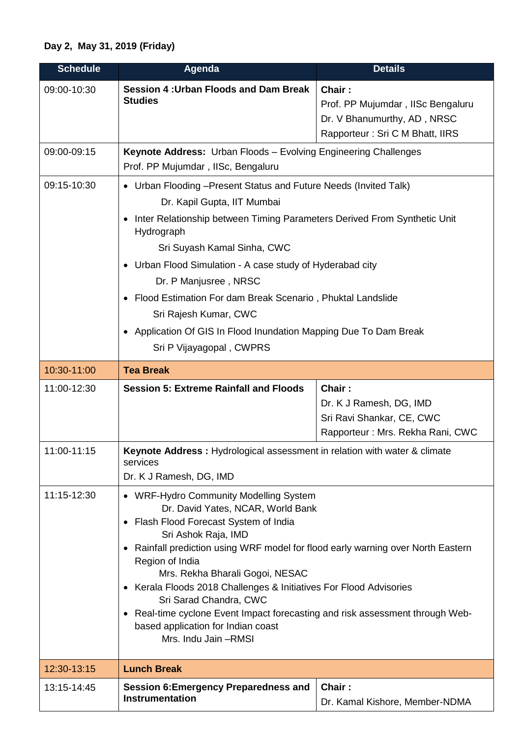## **Day 2, May 31, 2019 (Friday)**

| <b>Schedule</b> | <b>Agenda</b>                                                                                                                                                                                                                                                                                                                                                                                                                                                                                                                       | <b>Details</b>                                                                                                |  |
|-----------------|-------------------------------------------------------------------------------------------------------------------------------------------------------------------------------------------------------------------------------------------------------------------------------------------------------------------------------------------------------------------------------------------------------------------------------------------------------------------------------------------------------------------------------------|---------------------------------------------------------------------------------------------------------------|--|
| 09:00-10:30     | <b>Session 4: Urban Floods and Dam Break</b><br><b>Studies</b>                                                                                                                                                                                                                                                                                                                                                                                                                                                                      | Chair:<br>Prof. PP Mujumdar, IISc Bengaluru<br>Dr. V Bhanumurthy, AD, NRSC<br>Rapporteur: Sri C M Bhatt, IIRS |  |
| 09:00-09:15     | Keynote Address: Urban Floods - Evolving Engineering Challenges<br>Prof. PP Mujumdar, IISc, Bengaluru                                                                                                                                                                                                                                                                                                                                                                                                                               |                                                                                                               |  |
| 09:15-10:30     | • Urban Flooding - Present Status and Future Needs (Invited Talk)<br>Dr. Kapil Gupta, IIT Mumbai<br>Inter Relationship between Timing Parameters Derived From Synthetic Unit<br>Hydrograph<br>Sri Suyash Kamal Sinha, CWC<br>• Urban Flood Simulation - A case study of Hyderabad city<br>Dr. P Manjusree, NRSC<br>• Flood Estimation For dam Break Scenario, Phuktal Landslide<br>Sri Rajesh Kumar, CWC<br>Application Of GIS In Flood Inundation Mapping Due To Dam Break<br>Sri P Vijayagopal, CWPRS                             |                                                                                                               |  |
| 10:30-11:00     | <b>Tea Break</b>                                                                                                                                                                                                                                                                                                                                                                                                                                                                                                                    |                                                                                                               |  |
| 11:00-12:30     | <b>Session 5: Extreme Rainfall and Floods</b>                                                                                                                                                                                                                                                                                                                                                                                                                                                                                       | Chair:<br>Dr. K J Ramesh, DG, IMD<br>Sri Ravi Shankar, CE, CWC<br>Rapporteur: Mrs. Rekha Rani, CWC            |  |
| 11:00-11:15     | Keynote Address: Hydrological assessment in relation with water & climate<br>services<br>Dr. K J Ramesh, DG, IMD                                                                                                                                                                                                                                                                                                                                                                                                                    |                                                                                                               |  |
| 11:15-12:30     | • WRF-Hydro Community Modelling System<br>Dr. David Yates, NCAR, World Bank<br>• Flash Flood Forecast System of India<br>Sri Ashok Raja, IMD<br>Rainfall prediction using WRF model for flood early warning over North Eastern<br>Region of India<br>Mrs. Rekha Bharali Gogoi, NESAC<br>• Kerala Floods 2018 Challenges & Initiatives For Flood Advisories<br>Sri Sarad Chandra, CWC<br>• Real-time cyclone Event Impact forecasting and risk assessment through Web-<br>based application for Indian coast<br>Mrs. Indu Jain -RMSI |                                                                                                               |  |
| 12:30-13:15     | <b>Lunch Break</b>                                                                                                                                                                                                                                                                                                                                                                                                                                                                                                                  |                                                                                                               |  |
| 13:15-14:45     | <b>Session 6: Emergency Preparedness and</b><br><b>Instrumentation</b>                                                                                                                                                                                                                                                                                                                                                                                                                                                              | Chair:<br>Dr. Kamal Kishore, Member-NDMA                                                                      |  |